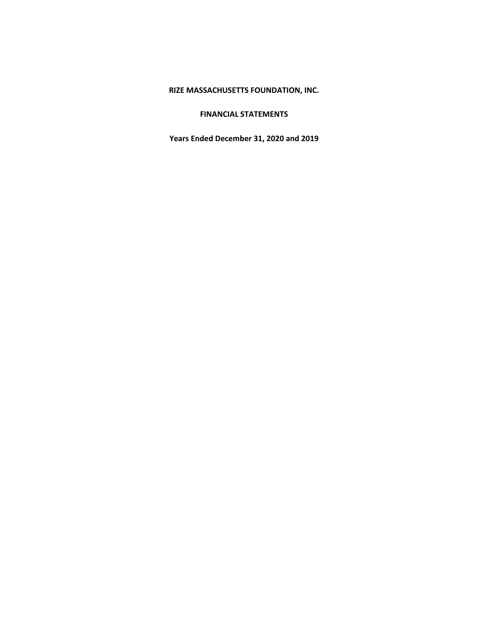# **FINANCIAL STATEMENTS**

**Years Ended December 31, 2020 and 2019**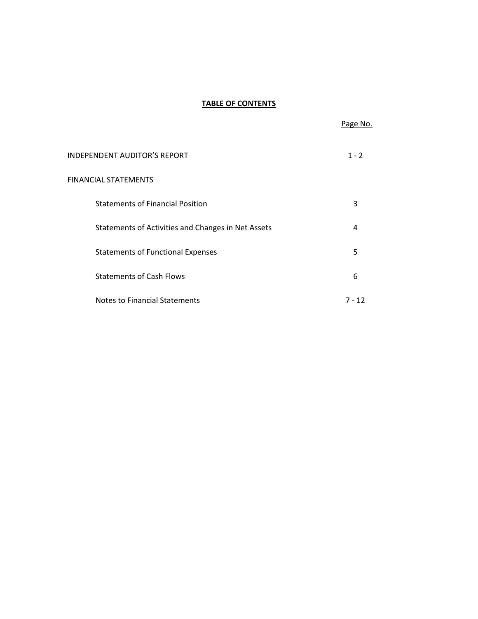# **TABLE OF CONTENTS**

Page No.

| <b>INDEPENDENT AUDITOR'S REPORT</b>                | $1 - 2$  |
|----------------------------------------------------|----------|
| <b>FINANCIAL STATEMENTS</b>                        |          |
| <b>Statements of Financial Position</b>            | 3        |
| Statements of Activities and Changes in Net Assets | 4        |
| <b>Statements of Functional Expenses</b>           | 5        |
| <b>Statements of Cash Flows</b>                    | 6        |
| Notes to Financial Statements                      | $7 - 12$ |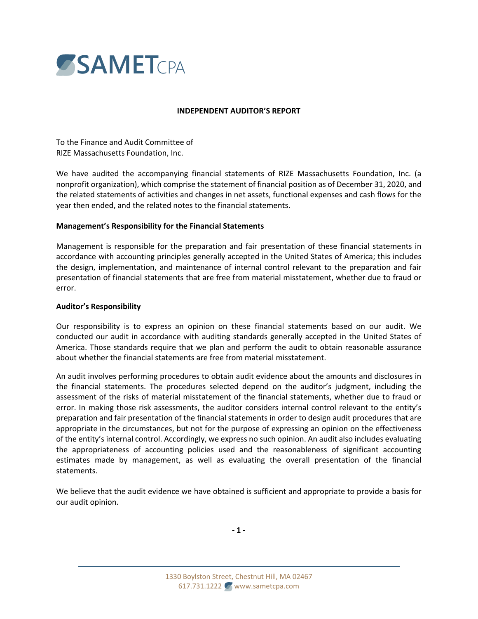

## **INDEPENDENT AUDITOR'S REPORT**

To the Finance and Audit Committee of RIZE Massachusetts Foundation, Inc.

We have audited the accompanying financial statements of RIZE Massachusetts Foundation, Inc. (a nonprofit organization), which comprise the statement of financial position as of December 31, 2020, and the related statements of activities and changes in net assets, functional expenses and cash flows for the year then ended, and the related notes to the financial statements.

# **Management's Responsibility for the Financial Statements**

Management is responsible for the preparation and fair presentation of these financial statements in accordance with accounting principles generally accepted in the United States of America; this includes the design, implementation, and maintenance of internal control relevant to the preparation and fair presentation of financial statements that are free from material misstatement, whether due to fraud or error.

# **Auditor's Responsibility**

Our responsibility is to express an opinion on these financial statements based on our audit. We conducted our audit in accordance with auditing standards generally accepted in the United States of America. Those standards require that we plan and perform the audit to obtain reasonable assurance about whether the financial statements are free from material misstatement.

An audit involves performing procedures to obtain audit evidence about the amounts and disclosures in the financial statements. The procedures selected depend on the auditor's judgment, including the assessment of the risks of material misstatement of the financial statements, whether due to fraud or error. In making those risk assessments, the auditor considers internal control relevant to the entity's preparation and fair presentation of the financial statements in order to design audit procedures that are appropriate in the circumstances, but not for the purpose of expressing an opinion on the effectiveness of the entity's internal control. Accordingly, we express no such opinion. An audit also includes evaluating the appropriateness of accounting policies used and the reasonableness of significant accounting estimates made by management, as well as evaluating the overall presentation of the financial statements.

We believe that the audit evidence we have obtained is sufficient and appropriate to provide a basis for our audit opinion.

**‐ 1 ‐**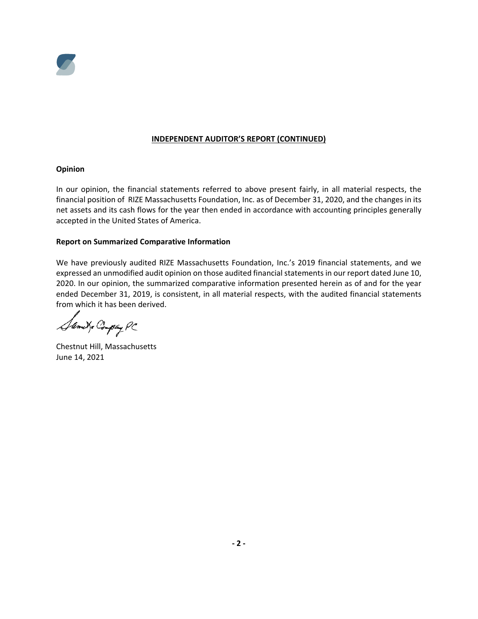

# **INDEPENDENT AUDITOR'S REPORT (CONTINUED)**

# **Opinion**

In our opinion, the financial statements referred to above present fairly, in all material respects, the financial position of RIZE Massachusetts Foundation, Inc. as of December 31, 2020, and the changes in its net assets and its cash flows for the year then ended in accordance with accounting principles generally accepted in the United States of America.

# **Report on Summarized Comparative Information**

We have previously audited RIZE Massachusetts Foundation, Inc.'s 2019 financial statements, and we expressed an unmodified audit opinion on those audited financial statements in our report dated June 10, 2020. In our opinion, the summarized comparative information presented herein as of and for the year ended December 31, 2019, is consistent, in all material respects, with the audited financial statements from which it has been derived.

Samedy Compay PC

Chestnut Hill, Massachusetts June 14, 2021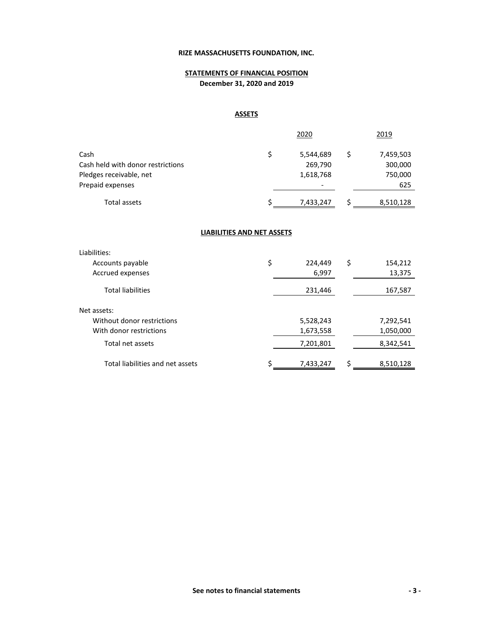# **December 31, 2020 and 2019 STATEMENTS OF FINANCIAL POSITION**

## **ASSETS**

|                                   | 2020            | 2019      |
|-----------------------------------|-----------------|-----------|
| Cash                              | \$<br>5,544,689 | 7,459,503 |
| Cash held with donor restrictions | 269,790         | 300,000   |
| Pledges receivable, net           | 1,618,768       | 750,000   |
| Prepaid expenses                  |                 | 625       |
| Total assets                      | 7,433,247       | 8,510,128 |

#### **LIABILITIES AND NET ASSETS**

| Liabilities:                     |    |           |    |           |
|----------------------------------|----|-----------|----|-----------|
| Accounts payable                 | \$ | 224,449   | \$ | 154,212   |
| Accrued expenses                 |    | 6,997     |    | 13,375    |
| <b>Total liabilities</b>         |    | 231,446   |    | 167,587   |
| Net assets:                      |    |           |    |           |
| Without donor restrictions       |    | 5,528,243 |    | 7,292,541 |
| With donor restrictions          |    | 1,673,558 |    | 1,050,000 |
| Total net assets                 |    | 7,201,801 |    | 8,342,541 |
| Total liabilities and net assets | ς  | 7,433,247 | ς  | 8,510,128 |
|                                  |    |           |    |           |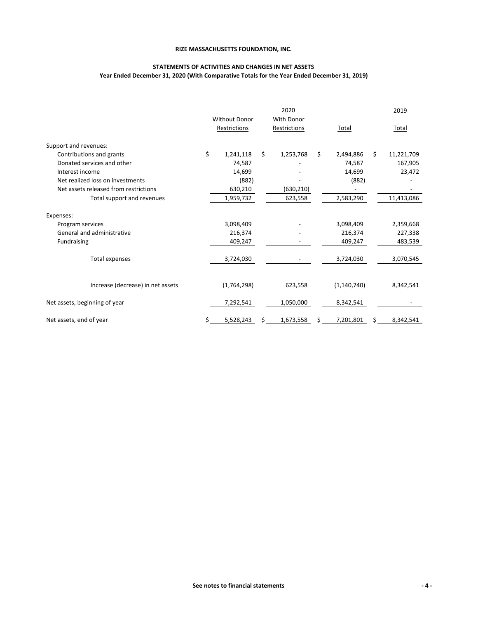#### **STATEMENTS OF ACTIVITIES AND CHANGES IN NET ASSETS Year Ended December 31, 2020 (With Comparative Totals for the Year Ended December 31, 2019)**

|                                       | 2020 |                      |    |                   |    |               | 2019 |            |
|---------------------------------------|------|----------------------|----|-------------------|----|---------------|------|------------|
|                                       |      | <b>Without Donor</b> |    | <b>With Donor</b> |    |               |      |            |
|                                       |      | Restrictions         |    | Restrictions      |    | Total         |      | Total      |
| Support and revenues:                 |      |                      |    |                   |    |               |      |            |
| Contributions and grants              | \$   | 1,241,118            | \$ | 1,253,768         | \$ | 2,494,886     | Ś.   | 11,221,709 |
| Donated services and other            |      | 74,587               |    |                   |    | 74,587        |      | 167,905    |
| Interest income                       |      | 14,699               |    |                   |    | 14,699        |      | 23,472     |
| Net realized loss on investments      |      | (882)                |    |                   |    | (882)         |      |            |
| Net assets released from restrictions |      | 630,210              |    | (630, 210)        |    |               |      |            |
| Total support and revenues            |      | 1,959,732            |    | 623,558           |    | 2,583,290     |      | 11,413,086 |
| Expenses:                             |      |                      |    |                   |    |               |      |            |
| Program services                      |      | 3,098,409            |    |                   |    | 3,098,409     |      | 2,359,668  |
| General and administrative            |      | 216,374              |    |                   |    | 216,374       |      | 227,338    |
| Fundraising                           |      | 409,247              |    |                   |    | 409,247       |      | 483,539    |
| Total expenses                        |      | 3,724,030            |    |                   |    | 3,724,030     |      | 3,070,545  |
| Increase (decrease) in net assets     |      | (1,764,298)          |    | 623,558           |    | (1, 140, 740) |      | 8,342,541  |
| Net assets, beginning of year         |      | 7,292,541            |    | 1,050,000         |    | 8,342,541     |      |            |
| Net assets, end of year               | \$   | 5,528,243            | S  | 1,673,558         | \$ | 7,201,801     | S    | 8,342,541  |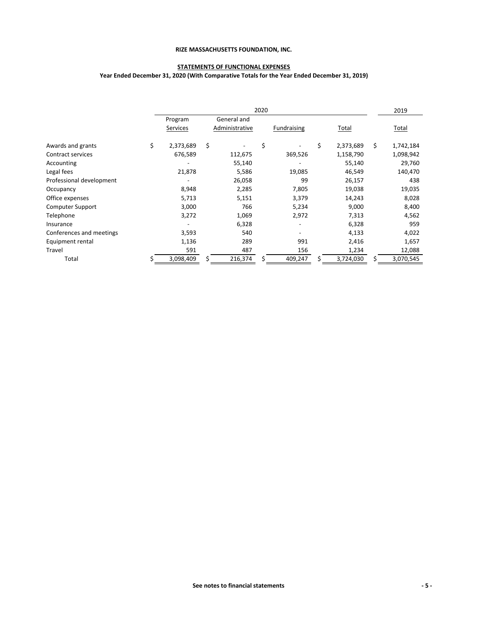### **Year Ended December 31, 2020 (With Comparative Totals for the Year Ended December 31, 2019) STATEMENTS OF FUNCTIONAL EXPENSES**

|                          | 2020 |                          |    |                |    |                          | 2019            |    |           |
|--------------------------|------|--------------------------|----|----------------|----|--------------------------|-----------------|----|-----------|
|                          |      | Program                  |    | General and    |    |                          |                 |    |           |
|                          |      | Services                 |    | Administrative |    | Fundraising              | Total           |    | Total     |
| Awards and grants        | \$   | 2,373,689                | \$ |                | \$ |                          | \$<br>2,373,689 | Ś. | 1,742,184 |
| Contract services        |      | 676,589                  |    | 112,675        |    | 369,526                  | 1,158,790       |    | 1,098,942 |
| Accounting               |      |                          |    | 55,140         |    |                          | 55,140          |    | 29,760    |
| Legal fees               |      | 21,878                   |    | 5,586          |    | 19,085                   | 46,549          |    | 140,470   |
| Professional development |      |                          |    | 26,058         |    | 99                       | 26,157          |    | 438       |
| Occupancy                |      | 8,948                    |    | 2,285          |    | 7,805                    | 19,038          |    | 19,035    |
| Office expenses          |      | 5,713                    |    | 5,151          |    | 3,379                    | 14,243          |    | 8,028     |
| <b>Computer Support</b>  |      | 3,000                    |    | 766            |    | 5,234                    | 9,000           |    | 8,400     |
| Telephone                |      | 3,272                    |    | 1,069          |    | 2,972                    | 7,313           |    | 4,562     |
| Insurance                |      | $\overline{\phantom{a}}$ |    | 6,328          |    | $\overline{\phantom{0}}$ | 6,328           |    | 959       |
| Conferences and meetings |      | 3,593                    |    | 540            |    | $\overline{\phantom{0}}$ | 4,133           |    | 4,022     |
| Equipment rental         |      | 1,136                    |    | 289            |    | 991                      | 2,416           |    | 1,657     |
| Travel                   |      | 591                      |    | 487            |    | 156                      | 1,234           |    | 12,088    |
| Total                    |      | 3,098,409                |    | 216,374        |    | 409,247                  | 3,724,030       |    | 3,070,545 |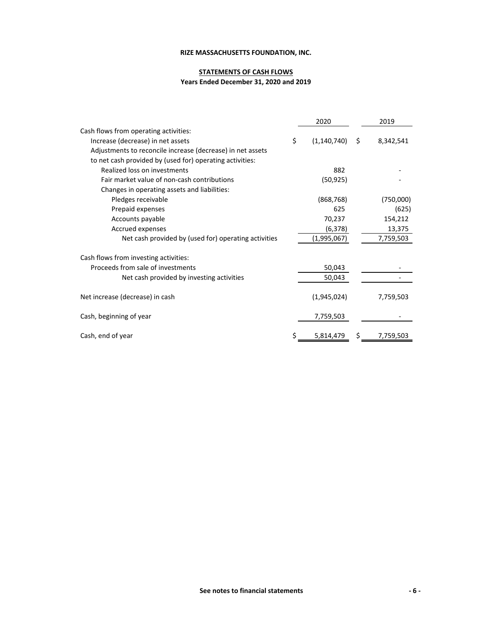# **STATEMENTS OF CASH FLOWS Years Ended December 31, 2020 and 2019**

|                                                            | 2020                |     | 2019      |
|------------------------------------------------------------|---------------------|-----|-----------|
| Cash flows from operating activities:                      |                     |     |           |
| Increase (decrease) in net assets                          | \$<br>(1, 140, 740) | \$. | 8,342,541 |
| Adjustments to reconcile increase (decrease) in net assets |                     |     |           |
| to net cash provided by (used for) operating activities:   |                     |     |           |
| Realized loss on investments                               | 882                 |     |           |
| Fair market value of non-cash contributions                | (50, 925)           |     |           |
| Changes in operating assets and liabilities:               |                     |     |           |
| Pledges receivable                                         | (868, 768)          |     | (750,000) |
| Prepaid expenses                                           | 625                 |     | (625)     |
| Accounts payable                                           | 70,237              |     | 154,212   |
| Accrued expenses                                           | (6, 378)            |     | 13,375    |
| Net cash provided by (used for) operating activities       | (1,995,067)         |     | 7,759,503 |
| Cash flows from investing activities:                      |                     |     |           |
| Proceeds from sale of investments                          | 50,043              |     |           |
| Net cash provided by investing activities                  | 50,043              |     |           |
| Net increase (decrease) in cash                            | (1,945,024)         |     | 7,759,503 |
| Cash, beginning of year                                    | 7,759,503           |     |           |
| Cash, end of year                                          | \$<br>5,814,479     |     | 7,759,503 |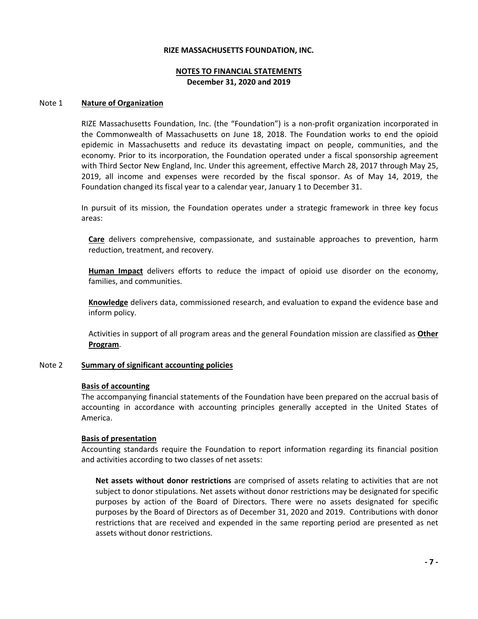# **NOTES TO FINANCIAL STATEMENTS December 31, 2020 and 2019**

#### Note 1 **Nature of Organization**

RIZE Massachusetts Foundation, Inc. (the "Foundation") is a non‐profit organization incorporated in the Commonwealth of Massachusetts on June 18, 2018. The Foundation works to end the opioid epidemic in Massachusetts and reduce its devastating impact on people, communities, and the economy. Prior to its incorporation, the Foundation operated under a fiscal sponsorship agreement with Third Sector New England, Inc. Under this agreement, effective March 28, 2017 through May 25, 2019, all income and expenses were recorded by the fiscal sponsor. As of May 14, 2019, the Foundation changed its fiscal year to a calendar year, January 1 to December 31.

In pursuit of its mission, the Foundation operates under a strategic framework in three key focus areas:

**Care** delivers comprehensive, compassionate, and sustainable approaches to prevention, harm reduction, treatment, and recovery.

**Human Impact** delivers efforts to reduce the impact of opioid use disorder on the economy, families, and communities.

**Knowledge** delivers data, commissioned research, and evaluation to expand the evidence base and inform policy.

Activities in support of all program areas and the general Foundation mission are classified as **Other Program**.

### Note 2 **Summary of significant accounting policies**

### **Basis of accounting**

The accompanying financial statements of the Foundation have been prepared on the accrual basis of accounting in accordance with accounting principles generally accepted in the United States of America.

### **Basis of presentation**

Accounting standards require the Foundation to report information regarding its financial position and activities according to two classes of net assets:

**Net assets without donor restrictions** are comprised of assets relating to activities that are not subject to donor stipulations. Net assets without donor restrictions may be designated for specific purposes by action of the Board of Directors. There were no assets designated for specific purposes by the Board of Directors as of December 31, 2020 and 2019. Contributions with donor restrictions that are received and expended in the same reporting period are presented as net assets without donor restrictions.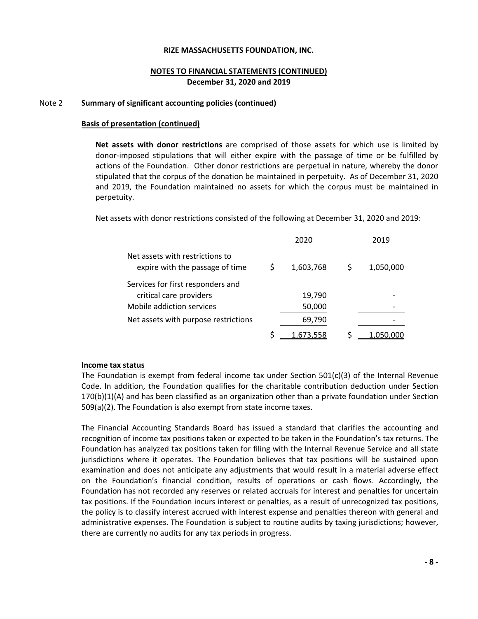# **NOTES TO FINANCIAL STATEMENTS (CONTINUED) December 31, 2020 and 2019**

## Note 2 **Summary of significant accounting policies (continued)**

### **Basis of presentation (continued)**

**Net assets with donor restrictions** are comprised of those assets for which use is limited by donor‐imposed stipulations that will either expire with the passage of time or be fulfilled by actions of the Foundation. Other donor restrictions are perpetual in nature, whereby the donor stipulated that the corpus of the donation be maintained in perpetuity. As of December 31, 2020 and 2019, the Foundation maintained no assets for which the corpus must be maintained in perpetuity.

Net assets with donor restrictions consisted of the following at December 31, 2020 and 2019:

|                                                                    | 2020      | 2019      |
|--------------------------------------------------------------------|-----------|-----------|
| Net assets with restrictions to<br>expire with the passage of time | 1,603,768 | 1,050,000 |
| Services for first responders and                                  |           |           |
| critical care providers                                            | 19,790    |           |
| Mobile addiction services                                          | 50,000    |           |
| Net assets with purpose restrictions                               | 69,790    |           |
|                                                                    | 1.673.558 |           |

### **Income tax status**

The Foundation is exempt from federal income tax under Section 501(c)(3) of the Internal Revenue Code. In addition, the Foundation qualifies for the charitable contribution deduction under Section 170(b)(1)(A) and has been classified as an organization other than a private foundation under Section 509(a)(2). The Foundation is also exempt from state income taxes.

The Financial Accounting Standards Board has issued a standard that clarifies the accounting and recognition of income tax positions taken or expected to be taken in the Foundation's tax returns. The Foundation has analyzed tax positions taken for filing with the Internal Revenue Service and all state jurisdictions where it operates. The Foundation believes that tax positions will be sustained upon examination and does not anticipate any adjustments that would result in a material adverse effect on the Foundation's financial condition, results of operations or cash flows. Accordingly, the Foundation has not recorded any reserves or related accruals for interest and penalties for uncertain tax positions. If the Foundation incurs interest or penalties, as a result of unrecognized tax positions, the policy is to classify interest accrued with interest expense and penalties thereon with general and administrative expenses. The Foundation is subject to routine audits by taxing jurisdictions; however, there are currently no audits for any tax periods in progress.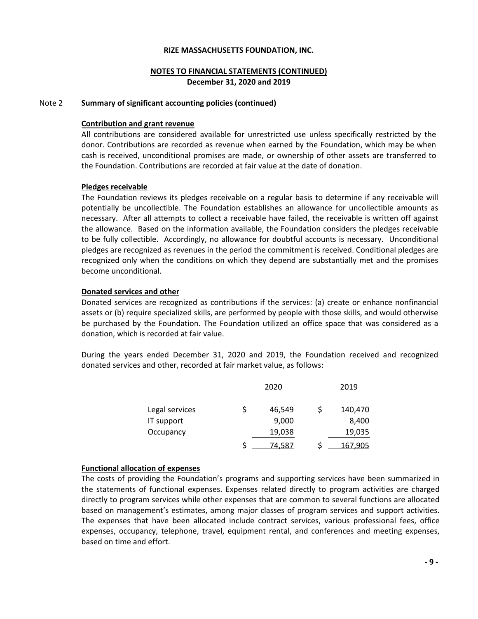# **NOTES TO FINANCIAL STATEMENTS (CONTINUED) December 31, 2020 and 2019**

#### Note 2 **Summary of significant accounting policies (continued)**

#### **Contribution and grant revenue**

All contributions are considered available for unrestricted use unless specifically restricted by the donor. Contributions are recorded as revenue when earned by the Foundation, which may be when cash is received, unconditional promises are made, or ownership of other assets are transferred to the Foundation. Contributions are recorded at fair value at the date of donation.

#### **Pledges receivable**

The Foundation reviews its pledges receivable on a regular basis to determine if any receivable will potentially be uncollectible. The Foundation establishes an allowance for uncollectible amounts as necessary. After all attempts to collect a receivable have failed, the receivable is written off against the allowance. Based on the information available, the Foundation considers the pledges receivable to be fully collectible. Accordingly, no allowance for doubtful accounts is necessary. Unconditional pledges are recognized as revenues in the period the commitment is received. Conditional pledges are recognized only when the conditions on which they depend are substantially met and the promises become unconditional.

### **Donated services and other**

Donated services are recognized as contributions if the services: (a) create or enhance nonfinancial assets or (b) require specialized skills, are performed by people with those skills, and would otherwise be purchased by the Foundation. The Foundation utilized an office space that was considered as a donation, which is recorded at fair value.

During the years ended December 31, 2020 and 2019, the Foundation received and recognized donated services and other, recorded at fair market value, as follows:

|                |    | 2020   | 2019    |  |  |
|----------------|----|--------|---------|--|--|
| Legal services | \$ | 46,549 | 140,470 |  |  |
| IT support     |    | 9,000  | 8,400   |  |  |
| Occupancy      |    | 19,038 | 19,035  |  |  |
|                | Ś  | 74.587 | 167,905 |  |  |

### **Functional allocation of expenses**

The costs of providing the Foundation's programs and supporting services have been summarized in the statements of functional expenses. Expenses related directly to program activities are charged directly to program services while other expenses that are common to several functions are allocated based on management's estimates, among major classes of program services and support activities. The expenses that have been allocated include contract services, various professional fees, office expenses, occupancy, telephone, travel, equipment rental, and conferences and meeting expenses, based on time and effort.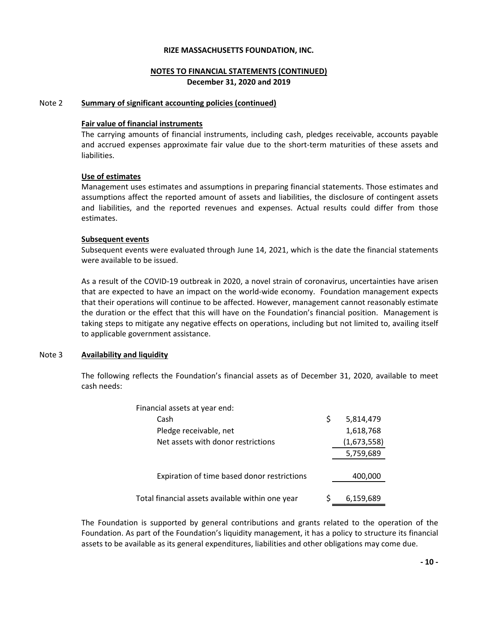# **NOTES TO FINANCIAL STATEMENTS (CONTINUED) December 31, 2020 and 2019**

#### Note 2 **Summary of significant accounting policies (continued)**

#### **Fair value of financial instruments**

The carrying amounts of financial instruments, including cash, pledges receivable, accounts payable and accrued expenses approximate fair value due to the short-term maturities of these assets and liabilities.

### **Use of estimates**

Management uses estimates and assumptions in preparing financial statements. Those estimates and assumptions affect the reported amount of assets and liabilities, the disclosure of contingent assets and liabilities, and the reported revenues and expenses. Actual results could differ from those estimates.

#### **Subsequent events**

Subsequent events were evaluated through June 14, 2021, which is the date the financial statements were available to be issued.

As a result of the COVID‐19 outbreak in 2020, a novel strain of coronavirus, uncertainties have arisen that are expected to have an impact on the world‐wide economy. Foundation management expects that their operations will continue to be affected. However, management cannot reasonably estimate the duration or the effect that this will have on the Foundation's financial position. Management is taking steps to mitigate any negative effects on operations, including but not limited to, availing itself to applicable government assistance.

### Note 3 **Availability and liquidity**

The following reflects the Foundation's financial assets as of December 31, 2020, available to meet cash needs:

| Financial assets at year end:                    |                 |
|--------------------------------------------------|-----------------|
| Cash                                             | \$<br>5,814,479 |
| Pledge receivable, net                           | 1,618,768       |
| Net assets with donor restrictions               | (1,673,558)     |
|                                                  | 5,759,689       |
|                                                  |                 |
| Expiration of time based donor restrictions      | 400,000         |
|                                                  |                 |
| Total financial assets available within one year | 6,159,689       |

The Foundation is supported by general contributions and grants related to the operation of the Foundation. As part of the Foundation's liquidity management, it has a policy to structure its financial assets to be available as its general expenditures, liabilities and other obligations may come due.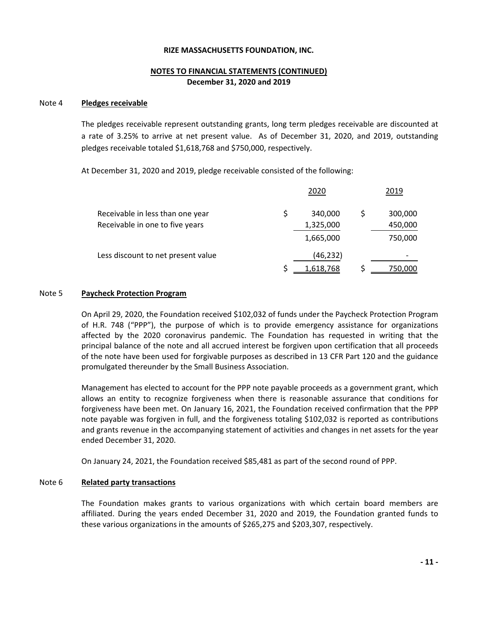# **NOTES TO FINANCIAL STATEMENTS (CONTINUED) December 31, 2020 and 2019**

#### Note 4 **Pledges receivable**

The pledges receivable represent outstanding grants, long term pledges receivable are discounted at a rate of 3.25% to arrive at net present value. As of December 31, 2020, and 2019, outstanding pledges receivable totaled \$1,618,768 and \$750,000, respectively.

At December 31, 2020 and 2019, pledge receivable consisted of the following:

|                                    |   | 2020      | 2019    |
|------------------------------------|---|-----------|---------|
| Receivable in less than one year   | S | 340,000   | 300,000 |
| Receivable in one to five years    |   | 1,325,000 | 450,000 |
|                                    |   | 1,665,000 | 750,000 |
| Less discount to net present value |   | (46, 232) |         |
|                                    |   | .618.768  | 750.000 |

#### Note 5 **Paycheck Protection Program**

On April 29, 2020, the Foundation received \$102,032 of funds under the Paycheck Protection Program of H.R. 748 ("PPP"), the purpose of which is to provide emergency assistance for organizations affected by the 2020 coronavirus pandemic. The Foundation has requested in writing that the principal balance of the note and all accrued interest be forgiven upon certification that all proceeds of the note have been used for forgivable purposes as described in 13 CFR Part 120 and the guidance promulgated thereunder by the Small Business Association.

Management has elected to account for the PPP note payable proceeds as a government grant, which allows an entity to recognize forgiveness when there is reasonable assurance that conditions for forgiveness have been met. On January 16, 2021, the Foundation received confirmation that the PPP note payable was forgiven in full, and the forgiveness totaling \$102,032 is reported as contributions and grants revenue in the accompanying statement of activities and changes in net assets for the year ended December 31, 2020.

On January 24, 2021, the Foundation received \$85,481 as part of the second round of PPP.

### Note 6 **Related party transactions**

 The Foundation makes grants to various organizations with which certain board members are affiliated. During the years ended December 31, 2020 and 2019, the Foundation granted funds to these various organizations in the amounts of \$265,275 and \$203,307, respectively.